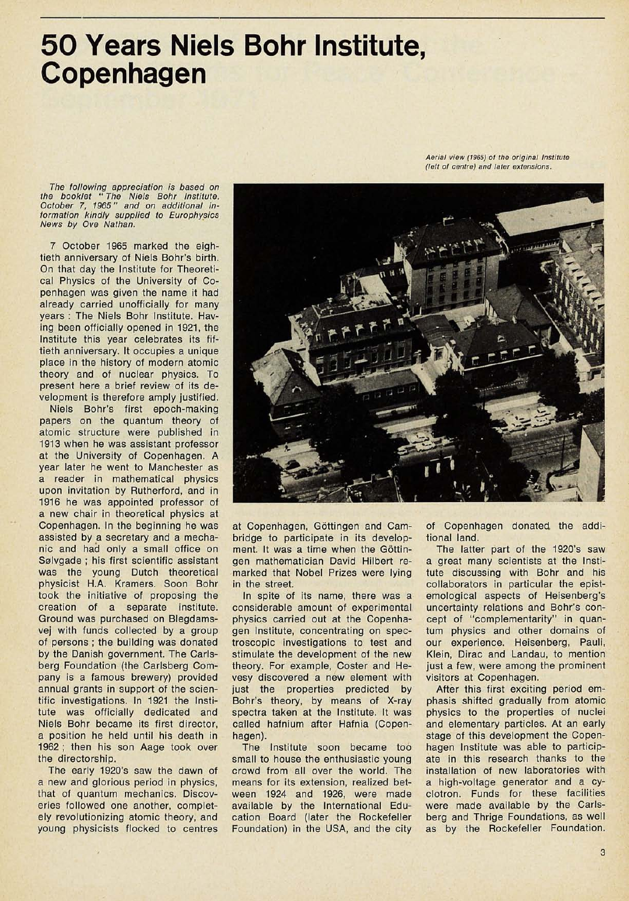## 50 Years Niels Bohr Institute, Copenhagen

*Aerial view (1965) of the original Institute (left of centre) and later extensions.*

*The following appreciation is based on the booklet* **"** *The Niels Bohr Institute. October* **7,** *1965" and on additional information kindly supplied to Europhysics News by Ove Nathan.*

*7* October 1965 marked the eightieth anniversary of Niels Bohr's birth. On that day the Institute for Theoretical Physics of the University of Copenhagen was given the name it had already carried unofficially for many years : The Niels Bohr Institute. Having been officially opened in 1921, the Institute this year celebrates its fiftieth anniversary. It occupies a unique place in the history of modern atomic theory and of nuclear physics. To present here a brief review of its development is therefore amply justified.

Niels Bohr's first epoch-making papers on the quantum theory of atomic structure were published in 1913 when he was assistant professor at the University of Copenhagen. A year later he went to Manchester as a reader in mathematical physics upon invitation by Rutherford, and in 1916 he was appointed professor of a new chair in theoretical physics at Copenhagen. In the beginning he was assisted by a secretary and a mechanic and had only a small office on Sølvgade ; his first scientific assistant was the young Dutch theoretical physicist H.A. Kramers. Soon Bohr took the initiative of proposing the creation of a separate institute. Ground was purchased on Blegdamsvej with funds collected by a group of persons ; the building was donated by the Danish government. The Carlsberg Foundation (the Carlsberg Company is a famous brewery) provided annual grants in support of the scientific investigations. In 1921 the Institute was officially dedicated and Niels Bohr became its first director, a position he held until his death in 1962 ; then his son Aage took over the directorship.

The early 1920's saw the dawn of a new and glorious period in physics, that of quantum mechanics. Discoveries followed one another, completely revolutionizing atomic theory, and young physicists flocked to centres



at Copenhagen, Gottingen and Cambridge to participate in its development. It was a time when the Göttingen mathematician David Hilbert remarked that Nobel Prizes were lying in the street.

In spite of its name, there was a considerable amount of experimental physics carried out at the Copenhagen Institute, concentrating on spectroscopic investigations to test and stimulate the development of the new theory. For example, Coster and Hevesy discovered a new element with just the properties predicted by Bohr's theory, by means of X-ray spectra taken at the Institute. It was called hafnium after Hafnia (Copenhagen).

The Institute soon became too small to house the enthusiastic young crowd from all over the world. The means for its extension, realized between 1924 and 1926, were made available by the International Education Board (later the Rockefeller Foundation) in the USA, and the city of Copenhagen donated the additional land.

The latter part of the 1920's saw a great many scientists at the Institute discussing with Bohr and his collaborators in particular the epistemological aspects of Heisenberg's uncertainty relations and Bohr's concept of "complementarity" in quantum physics and other domains of our experience. Heisenberg, Pauli, Klein, Dirac and Landau, to mention just a few, were among the prominent visitors at Copenhagen.

After this first exciting period emphasis shifted gradually from atomic physics to the properties of nuclei and elementary particles. At an early stage of this development the Copenhagen Institute was able to participate in this research thanks to the installation of new laboratories with a high-voltage generator and a cyclotron. Funds for these facilities were made available by the Carlsberg and Thrige Foundations, as well as by the Rockefeller Foundation.